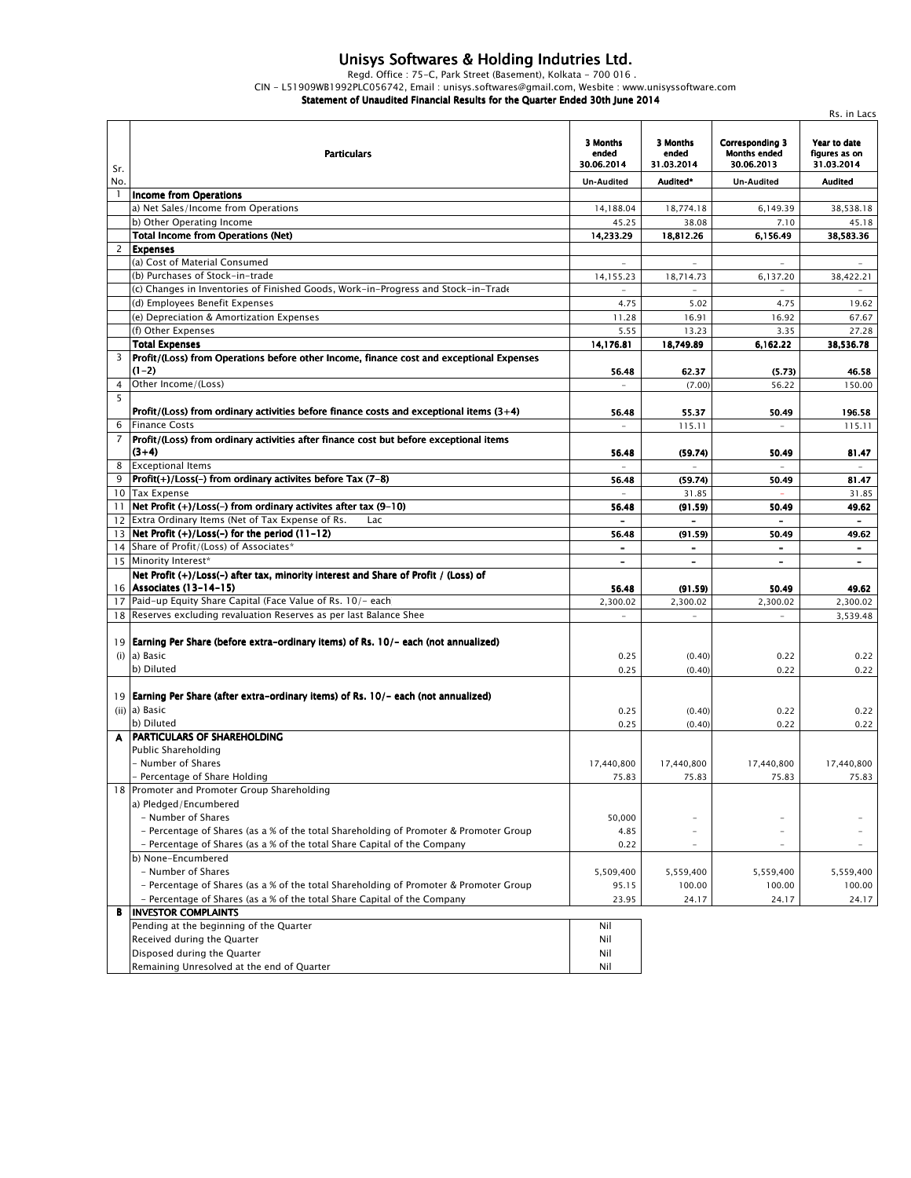## *Unisys Softwares & Holding Indutries Ltd.*

*Regd. Office : 75-C, Park Street (Basement), Kolkata - 700 016 .* 

*CIN - L51909WB1992PLC056742, Email : unisys.softwares@gmail.com, Wesbite : www.unisyssoftware.com*

*Statement of Unaudited Financial Results for the Quarter Ended 30th June 2014*

|                |                                                                                           |                                 |                                 |                                                             | Rs. in Lacs                                 |
|----------------|-------------------------------------------------------------------------------------------|---------------------------------|---------------------------------|-------------------------------------------------------------|---------------------------------------------|
| Sr.            | <b>Particulars</b>                                                                        | 3 Months<br>ended<br>30.06.2014 | 3 Months<br>ended<br>31.03.2014 | <b>Corresponding 3</b><br><b>Months ended</b><br>30.06.2013 | Year to date<br>figures as on<br>31.03.2014 |
| No.            |                                                                                           | <b>Un-Audited</b>               | Audited*                        | <b>Un-Audited</b>                                           | <b>Audited</b>                              |
| $\mathbf{1}$   | Income from Operations                                                                    |                                 |                                 |                                                             |                                             |
|                | a) Net Sales/Income from Operations                                                       | 14,188.04                       | 18,774.18                       | 6,149.39                                                    | 38,538.18                                   |
|                | b) Other Operating Income                                                                 | 45.25                           | 38.08                           | 7.10                                                        | 45.18                                       |
|                | <b>Total Income from Operations (Net)</b>                                                 | 14,233.29                       | 18,812.26                       | 6,156.49                                                    | 38,583.36                                   |
| $\overline{2}$ | <b>Expenses</b><br>(a) Cost of Material Consumed                                          |                                 |                                 |                                                             |                                             |
|                | (b) Purchases of Stock-in-trade                                                           |                                 |                                 |                                                             |                                             |
|                |                                                                                           | 14,155.23                       | 18,714.73                       | 6,137.20                                                    | 38,422.21                                   |
|                | (c) Changes in Inventories of Finished Goods, Work-in-Progress and Stock-in-Trade         |                                 |                                 |                                                             |                                             |
|                | (d) Employees Benefit Expenses                                                            | 4.75                            | 5.02                            | 4.75                                                        | 19.62                                       |
|                | (e) Depreciation & Amortization Expenses                                                  | 11.28                           | 16.91                           | 16.92                                                       | 67.67                                       |
|                | (f) Other Expenses<br><b>Total Expenses</b>                                               | 5.55                            | 13.23                           | 3.35<br>6,162.22                                            | 27.28                                       |
| 3              | Profit/(Loss) from Operations before other Income, finance cost and exceptional Expenses  | 14,176.81                       | 18,749.89                       |                                                             | 38,536.78                                   |
|                | (1–2)                                                                                     | 56.48                           | 62.37                           | (5.73)                                                      | 46.58                                       |
| 4              | Other Income/(Loss)                                                                       | $\sim$                          | (7.00)                          | 56.22                                                       | 150.00                                      |
| 5              |                                                                                           |                                 |                                 |                                                             |                                             |
|                | Profit/(Loss) from ordinary activities before finance costs and exceptional items $(3+4)$ | 56.48                           | 55.37                           | 50.49                                                       | 196.58                                      |
| 6              | <b>Finance Costs</b>                                                                      | $\equiv$                        | 115.11                          | $\sim$                                                      | 115.11                                      |
| $\overline{7}$ | Profit/(Loss) from ordinary activities after finance cost but before exceptional items    |                                 |                                 |                                                             |                                             |
|                | $(3+4)$                                                                                   | 56.48                           | (59.74)                         | 50.49                                                       | 81.47                                       |
| 8              | <b>Exceptional Items</b>                                                                  |                                 |                                 | $\sim$                                                      |                                             |
| 9              | $ Profit(+)/Loss(-)$ from ordinary activites before Tax (7-8)                             | 56.48                           | (59.74)                         | 50.49                                                       | 81.47                                       |
|                | 10 Tax Expense                                                                            |                                 | 31.85                           |                                                             | 31.85                                       |
| 11             | Net Profit $(+)/$ Loss(-) from ordinary activites after tax (9-10)                        | 56.48                           | (91.59)                         | 50.49                                                       | 49.62                                       |
|                | 12 Extra Ordinary Items (Net of Tax Expense of Rs.<br>Lac                                 |                                 |                                 |                                                             |                                             |
|                | 13   Net Profit $(+)/$ Loss(-) for the period $(11-12)$                                   | 56.48                           | (91.59)                         | 50.49                                                       | 49.62                                       |
|                | 14 Share of Profit/(Loss) of Associates*                                                  |                                 | $\overline{\phantom{0}}$        | $\overline{\phantom{a}}$                                    | $\blacksquare$                              |
|                | 15 Minority Interest*                                                                     | $\overline{\phantom{a}}$        | $\blacksquare$                  | $\overline{\phantom{a}}$                                    | $\overline{\phantom{a}}$                    |
|                | Net Profit (+)/Loss(-) after tax, minority interest and Share of Profit / (Loss) of       |                                 |                                 |                                                             |                                             |
|                | 16 Associates (13-14-15)                                                                  | 56.48                           | (91.59)                         | 50.49                                                       | 49.62                                       |
|                | 17 Paid-up Equity Share Capital (Face Value of Rs. 10/- each)                             | 2,300.02                        | 2,300.02                        | 2,300.02                                                    | 2,300.02                                    |
|                | 18 Reserves excluding revaluation Reserves as per last Balance Shee                       | $\bar{ }$                       |                                 |                                                             | 3,539.48                                    |
|                |                                                                                           |                                 |                                 |                                                             |                                             |
|                | 19   Earning Per Share (before extra-ordinary items) of Rs. 10/- each (not annualized)    |                                 |                                 |                                                             |                                             |
| (i)            | a) Basic                                                                                  | 0.25                            | (0.40)                          | 0.22                                                        | 0.22                                        |
|                | b) Diluted                                                                                | 0.25                            | (0.40)                          | 0.22                                                        | 0.22                                        |
|                |                                                                                           |                                 |                                 |                                                             |                                             |
|                | 19 Earning Per Share (after extra-ordinary items) of Rs. 10/- each (not annualized)       |                                 |                                 |                                                             |                                             |
|                | (ii) a) Basic                                                                             | 0.25                            | (0.40)                          | 0.22                                                        | 0.22                                        |
|                | b) Diluted                                                                                | 0.25                            | (0.40)                          | 0.22                                                        | 0.22                                        |
| A              | <b>PARTICULARS OF SHAREHOLDING</b>                                                        |                                 |                                 |                                                             |                                             |
|                | <b>Public Shareholding</b>                                                                |                                 |                                 |                                                             |                                             |
|                | - Number of Shares                                                                        | 17,440,800                      | 17,440,800                      | 17,440,800                                                  | 17,440,800                                  |
|                | - Percentage of Share Holding                                                             | 75.83                           | 75.83                           | 75.83                                                       | 75.83                                       |
|                | 18 Promoter and Promoter Group Shareholding                                               |                                 |                                 |                                                             |                                             |
|                | a) Pledged/Encumbered                                                                     |                                 |                                 |                                                             |                                             |
|                | - Number of Shares                                                                        | 50,000                          |                                 |                                                             |                                             |
|                | - Percentage of Shares (as a % of the total Shareholding of Promoter & Promoter Group     | 4.85                            | $\overline{\phantom{a}}$        |                                                             |                                             |
|                | - Percentage of Shares (as a % of the total Share Capital of the Company                  | 0.22                            |                                 |                                                             |                                             |
|                | b) None-Encumbered                                                                        |                                 |                                 |                                                             |                                             |
|                | - Number of Shares                                                                        | 5,509,400                       | 5,559,400                       | 5,559,400                                                   | 5,559,400                                   |
|                | - Percentage of Shares (as a % of the total Shareholding of Promoter & Promoter Group     | 95.15                           | 100.00                          | 100.00                                                      | 100.00                                      |
|                | - Percentage of Shares (as a % of the total Share Capital of the Company                  | 23.95                           | 24.17                           | 24.17                                                       | 24.17                                       |
| В              | <b>INVESTOR COMPLAINTS</b>                                                                |                                 |                                 |                                                             |                                             |
|                | Pending at the beginning of the Quarter                                                   | Nil                             |                                 |                                                             |                                             |
|                | Received during the Quarter                                                               | Nil                             |                                 |                                                             |                                             |
|                | Disposed during the Quarter                                                               | Nil                             |                                 |                                                             |                                             |
|                | Remaining Unresolved at the end of Quarter                                                | Nil                             |                                 |                                                             |                                             |